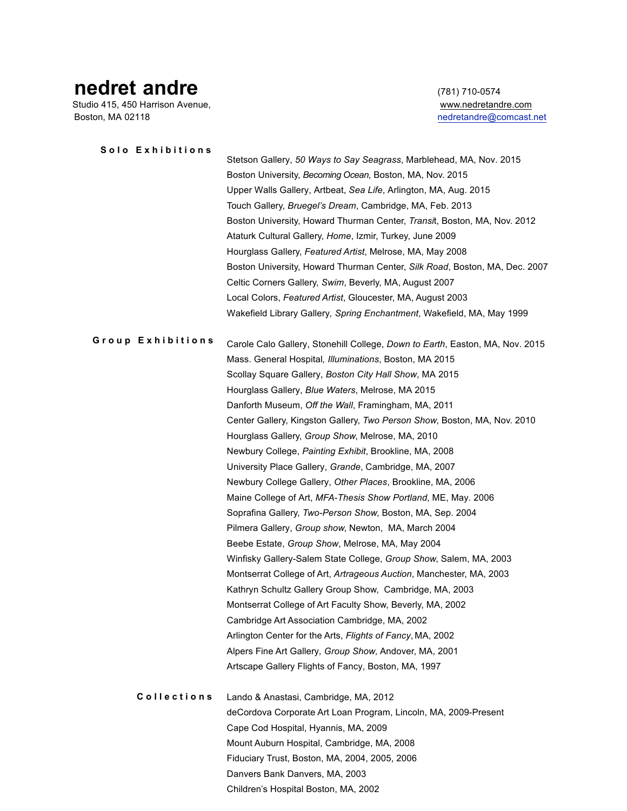## **nedret andre** (781) 710-0574<br>Studio 415, 450 Harrison Avenue, and the community of the studio 415, 450 Harrison Avenue,

Studio 415, 450 Harrison Avenue, Boston, MA 02118 **nedretandre@comcast.net** 

| Solo Exhibitions  |                                                                              |
|-------------------|------------------------------------------------------------------------------|
|                   | Stetson Gallery, 50 Ways to Say Seagrass, Marblehead, MA, Nov. 2015          |
|                   | Boston University, Becoming Ocean, Boston, MA, Nov. 2015                     |
|                   | Upper Walls Gallery, Artbeat, Sea Life, Arlington, MA, Aug. 2015             |
|                   | Touch Gallery, Bruegel's Dream, Cambridge, MA, Feb. 2013                     |
|                   | Boston University, Howard Thurman Center, Transit, Boston, MA, Nov. 2012     |
|                   | Ataturk Cultural Gallery, Home, Izmir, Turkey, June 2009                     |
|                   | Hourglass Gallery, Featured Artist, Melrose, MA, May 2008                    |
|                   | Boston University, Howard Thurman Center, Silk Road, Boston, MA, Dec. 2007   |
|                   | Celtic Corners Gallery, Swim, Beverly, MA, August 2007                       |
|                   | Local Colors, Featured Artist, Gloucester, MA, August 2003                   |
|                   |                                                                              |
|                   | Wakefield Library Gallery, Spring Enchantment, Wakefield, MA, May 1999       |
| Group Exhibitions | Carole Calo Gallery, Stonehill College, Down to Earth, Easton, MA, Nov. 2015 |
|                   | Mass. General Hospital, Illuminations, Boston, MA 2015                       |
|                   | Scollay Square Gallery, Boston City Hall Show, MA 2015                       |
|                   | Hourglass Gallery, Blue Waters, Melrose, MA 2015                             |
|                   | Danforth Museum, Off the Wall, Framingham, MA, 2011                          |
|                   | Center Gallery, Kingston Gallery, Two Person Show, Boston, MA, Nov. 2010     |
|                   | Hourglass Gallery, Group Show, Melrose, MA, 2010                             |
|                   | Newbury College, Painting Exhibit, Brookline, MA, 2008                       |
|                   | University Place Gallery, Grande, Cambridge, MA, 2007                        |
|                   | Newbury College Gallery, Other Places, Brookline, MA, 2006                   |
|                   | Maine College of Art, MFA-Thesis Show Portland, ME, May. 2006                |
|                   | Soprafina Gallery, Two-Person Show, Boston, MA, Sep. 2004                    |
|                   | Pilmera Gallery, Group show, Newton, MA, March 2004                          |
|                   | Beebe Estate, Group Show, Melrose, MA, May 2004                              |
|                   | Winfisky Gallery-Salem State College, Group Show, Salem, MA, 2003            |
|                   | Montserrat College of Art, Artrageous Auction, Manchester, MA, 2003          |
|                   | Kathryn Schultz Gallery Group Show, Cambridge, MA, 2003                      |
|                   |                                                                              |
|                   | Montserrat College of Art Faculty Show, Beverly, MA, 2002                    |
|                   | Cambridge Art Association Cambridge, MA, 2002                                |
|                   | Arlington Center for the Arts, Flights of Fancy, MA, 2002                    |
|                   | Alpers Fine Art Gallery, Group Show, Andover, MA, 2001                       |
|                   | Artscape Gallery Flights of Fancy, Boston, MA, 1997                          |
| Collections       | Lando & Anastasi, Cambridge, MA, 2012                                        |
|                   | deCordova Corporate Art Loan Program, Lincoln, MA, 2009-Present              |
|                   | Cape Cod Hospital, Hyannis, MA, 2009                                         |
|                   | Mount Auburn Hospital, Cambridge, MA, 2008                                   |
|                   | Fiduciary Trust, Boston, MA, 2004, 2005, 2006                                |
|                   | Danvers Bank Danvers, MA, 2003                                               |
|                   |                                                                              |

Children's Hospital Boston, MA, 2002